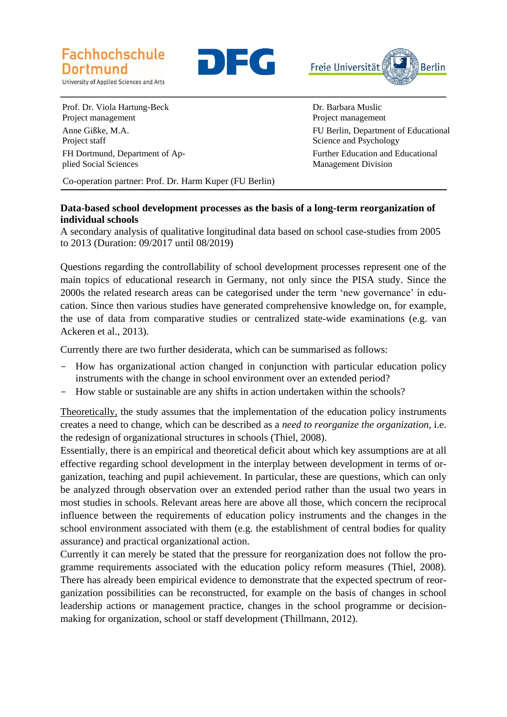

University of Applied Sciences and Arts





Prof. Dr. Viola Hartung-Beck Project management Anne Gißke, M.A. Project staff FH Dortmund, Department of Ap-

plied Social Sciences

Dr. Barbara Muslic Project management FU Berlin, Department of Educational Science and Psychology Further Education and Educational Management Division

Co-operation partner: Prof. Dr. Harm Kuper (FU Berlin)

## **Data-based school development processes as the basis of a long-term reorganization of individual schools**

A secondary analysis of qualitative longitudinal data based on school case-studies from 2005 to 2013 (Duration: 09/2017 until 08/2019)

Questions regarding the controllability of school development processes represent one of the main topics of educational research in Germany, not only since the PISA study. Since the 2000s the related research areas can be categorised under the term 'new governance' in education. Since then various studies have generated comprehensive knowledge on, for example, the use of data from comparative studies or centralized state-wide examinations (e.g. van Ackeren et al., 2013).

Currently there are two further desiderata, which can be summarised as follows:

- How has organizational action changed in conjunction with particular education policy instruments with the change in school environment over an extended period?
- How stable or sustainable are any shifts in action undertaken within the schools?

Theoretically, the study assumes that the implementation of the education policy instruments creates a need to change, which can be described as a *need to reorganize the organization*, i.e. the redesign of organizational structures in schools (Thiel, 2008).

Essentially, there is an empirical and theoretical deficit about which key assumptions are at all effective regarding school development in the interplay between development in terms of organization, teaching and pupil achievement. In particular, these are questions, which can only be analyzed through observation over an extended period rather than the usual two years in most studies in schools. Relevant areas here are above all those, which concern the reciprocal influence between the requirements of education policy instruments and the changes in the school environment associated with them (e.g. the establishment of central bodies for quality assurance) and practical organizational action.

Currently it can merely be stated that the pressure for reorganization does not follow the programme requirements associated with the education policy reform measures (Thiel, 2008). There has already been empirical evidence to demonstrate that the expected spectrum of reorganization possibilities can be reconstructed, for example on the basis of changes in school leadership actions or management practice, changes in the school programme or decisionmaking for organization, school or staff development (Thillmann, 2012).